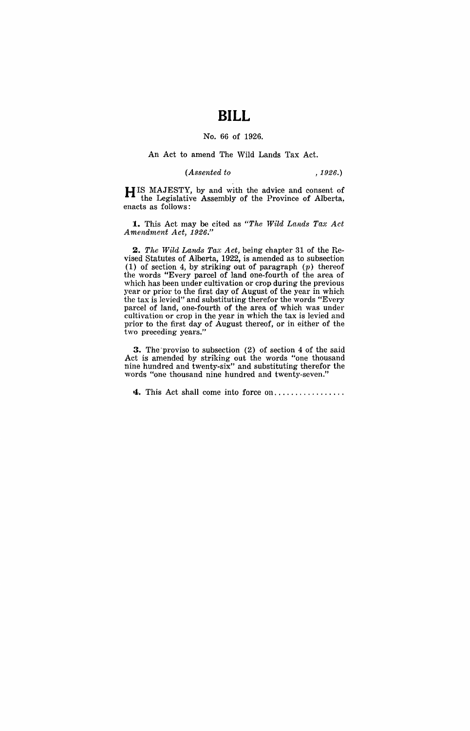# **BILL**

### No. 66 of 1926.

#### An Act to amend The Wild Lands Tax Act.

#### *(Assented to* ,1926.)

**HIS** MAJESTY, by and with the advice and consent of the Legislative Assembly of the Province of Alberta, enacts as follows:

**1.** This Act may be cited as *"The* Wild *Lands Tax Act Amendment Act, 1926."* 

*2. The* W'ild *Lands Tax Act,* being chapter 31 of the Revised Statutes of Alberta, 1922, is amended as to subsection (1) of section 4, by striking out of paragraph  $(p)$  thereof the words "Every parcel of land one-fourth of the area of which has been under cultivation or crop during the previous year or prior to the first day of August of the year in which the tax is levied" and substituting therefor the words "Every parcel of land, one-fourth of the area of which was under cultivation or crop in the year in which the tax is levied and prior to the first day of August thereof, or in either of the two preceding years."

**3.** The 'proviso to subsection (2) of section 4 of the said Act is amended by striking out the words "one thousand nine hundred and twenty-six" and substituting therefor the words "one thousand nine hundred and twenty-seven."

**4.** This Act shall come into force on ................ .